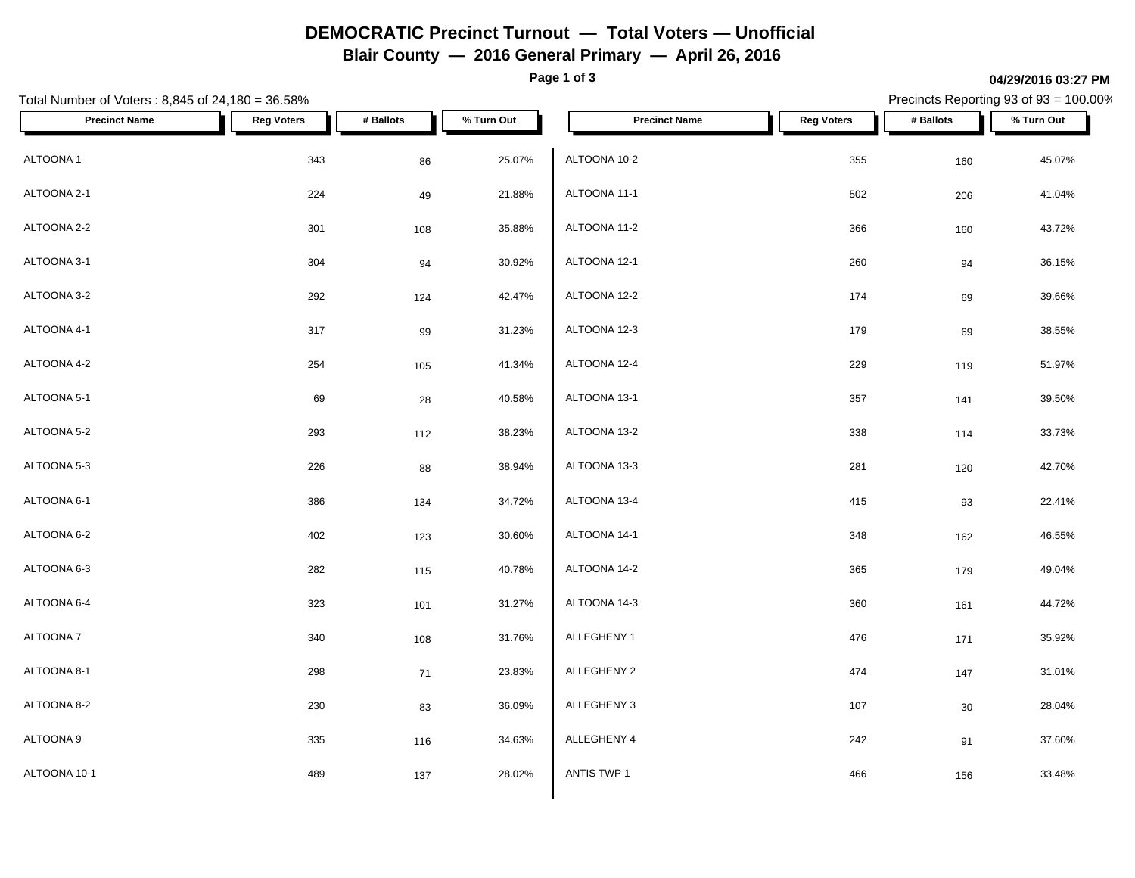## **DEMOCRATIC Precinct Turnout — Total Voters — Unofficial**

**Blair County — 2016 General Primary — April 26, 2016**

**Page 1 of 3**

#### **04/29/2016 03:27 PM**

Precincts Reporting 93 of 93 = 100.00%

| Total Number of Voters: 8,845 of 24,180 = 36.58% |                   |           |            | Precincts Reporting 93 of 93 = 100.00% |                   |           |            |
|--------------------------------------------------|-------------------|-----------|------------|----------------------------------------|-------------------|-----------|------------|
| <b>Precinct Name</b>                             | <b>Reg Voters</b> | # Ballots | % Turn Out | <b>Precinct Name</b>                   | <b>Reg Voters</b> | # Ballots | % Turn Out |
| ALTOONA 1                                        | 343               | 86        | 25.07%     | ALTOONA 10-2                           | 355               | 160       | 45.07%     |
| ALTOONA 2-1                                      | 224               | 49        | 21.88%     | ALTOONA 11-1                           | 502               | 206       | 41.04%     |
| ALTOONA 2-2                                      | 301               | 108       | 35.88%     | ALTOONA 11-2                           | 366               | 160       | 43.72%     |
| ALTOONA 3-1                                      | 304               | 94        | 30.92%     | ALTOONA 12-1                           | 260               | 94        | 36.15%     |
| ALTOONA 3-2                                      | 292               | 124       | 42.47%     | ALTOONA 12-2                           | 174               | 69        | 39.66%     |
| ALTOONA 4-1                                      | 317               | 99        | 31.23%     | ALTOONA 12-3                           | 179               | 69        | 38.55%     |
| ALTOONA 4-2                                      | 254               | 105       | 41.34%     | ALTOONA 12-4                           | 229               | 119       | 51.97%     |
| ALTOONA 5-1                                      | 69                | 28        | 40.58%     | ALTOONA 13-1                           | 357               | 141       | 39.50%     |
| ALTOONA 5-2                                      | 293               | 112       | 38.23%     | ALTOONA 13-2                           | 338               | 114       | 33.73%     |
| ALTOONA 5-3                                      | 226               | 88        | 38.94%     | ALTOONA 13-3                           | 281               | 120       | 42.70%     |
| ALTOONA 6-1                                      | 386               | 134       | 34.72%     | ALTOONA 13-4                           | 415               | 93        | 22.41%     |
| ALTOONA 6-2                                      | 402               | 123       | 30.60%     | ALTOONA 14-1                           | 348               | 162       | 46.55%     |
| ALTOONA 6-3                                      | 282               | 115       | 40.78%     | ALTOONA 14-2                           | 365               | 179       | 49.04%     |
| ALTOONA 6-4                                      | 323               | 101       | 31.27%     | ALTOONA 14-3                           | 360               | 161       | 44.72%     |
| ALTOONA 7                                        | 340               | 108       | 31.76%     | ALLEGHENY 1                            | 476               | 171       | 35.92%     |
| ALTOONA 8-1                                      | 298               | 71        | 23.83%     | ALLEGHENY 2                            | 474               | 147       | 31.01%     |
| ALTOONA 8-2                                      | 230               | 83        | 36.09%     | ALLEGHENY 3                            | 107               | $30\,$    | 28.04%     |
| ALTOONA 9                                        | 335               | 116       | 34.63%     | ALLEGHENY 4                            | 242               | 91        | 37.60%     |
| ALTOONA 10-1                                     | 489               | 137       | 28.02%     | ANTIS TWP 1                            | 466               | 156       | 33.48%     |
|                                                  |                   |           |            |                                        |                   |           |            |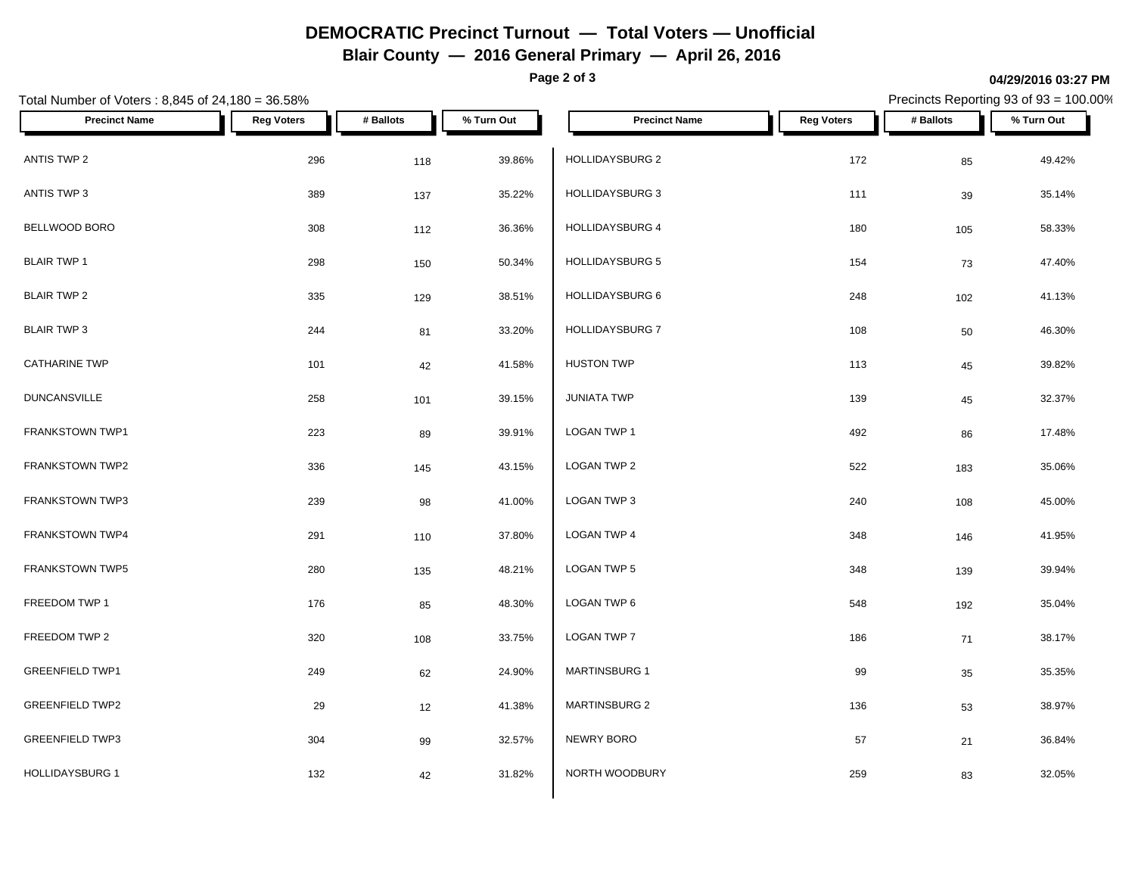# **DEMOCRATIC Precinct Turnout — Total Voters — Unofficial**

**Blair County — 2016 General Primary — April 26, 2016**

**Page 2 of 3**

#### **04/29/2016 03:27 PM**

Precincts Reporting 93 of 93 = 100.00%

| Total Number of Voters: 8,845 of 24,180 = 36.58% |                   |           |            |                        |                   |           | Precincts Reporting 93 of 93 = 100.00% |
|--------------------------------------------------|-------------------|-----------|------------|------------------------|-------------------|-----------|----------------------------------------|
| <b>Precinct Name</b>                             | <b>Reg Voters</b> | # Ballots | % Turn Out | <b>Precinct Name</b>   | <b>Reg Voters</b> | # Ballots | % Turn Out                             |
| ANTIS TWP 2                                      | 296               | 118       | 39.86%     | HOLLIDAYSBURG 2        | 172               | 85        | 49.42%                                 |
| ANTIS TWP 3                                      | 389               | 137       | 35.22%     | <b>HOLLIDAYSBURG 3</b> | 111               | 39        | 35.14%                                 |
| BELLWOOD BORO                                    | 308               | 112       | 36.36%     | <b>HOLLIDAYSBURG 4</b> | 180               | 105       | 58.33%                                 |
| <b>BLAIR TWP 1</b>                               | 298               | 150       | 50.34%     | <b>HOLLIDAYSBURG 5</b> | 154               | 73        | 47.40%                                 |
| <b>BLAIR TWP 2</b>                               | 335               | 129       | 38.51%     | <b>HOLLIDAYSBURG 6</b> | 248               | 102       | 41.13%                                 |
| <b>BLAIR TWP 3</b>                               | 244               | 81        | 33.20%     | <b>HOLLIDAYSBURG 7</b> | 108               | 50        | 46.30%                                 |
| <b>CATHARINE TWP</b>                             | 101               | 42        | 41.58%     | <b>HUSTON TWP</b>      | 113               | 45        | 39.82%                                 |
| <b>DUNCANSVILLE</b>                              | 258               | 101       | 39.15%     | <b>JUNIATA TWP</b>     | 139               | 45        | 32.37%                                 |
| FRANKSTOWN TWP1                                  | 223               | 89        | 39.91%     | LOGAN TWP 1            | 492               | 86        | 17.48%                                 |
| FRANKSTOWN TWP2                                  | 336               | 145       | 43.15%     | LOGAN TWP 2            | 522               | 183       | 35.06%                                 |
| <b>FRANKSTOWN TWP3</b>                           | 239               | 98        | 41.00%     | LOGAN TWP 3            | 240               | 108       | 45.00%                                 |
| FRANKSTOWN TWP4                                  | 291               | 110       | 37.80%     | <b>LOGAN TWP 4</b>     | 348               | 146       | 41.95%                                 |
| <b>FRANKSTOWN TWP5</b>                           | 280               | 135       | 48.21%     | LOGAN TWP 5            | 348               | 139       | 39.94%                                 |
| FREEDOM TWP 1                                    | 176               | 85        | 48.30%     | LOGAN TWP 6            | 548               | 192       | 35.04%                                 |
| FREEDOM TWP 2                                    | 320               | 108       | 33.75%     | LOGAN TWP 7            | 186               | $71$      | 38.17%                                 |
| <b>GREENFIELD TWP1</b>                           | 249               | 62        | 24.90%     | MARTINSBURG 1          | 99                | 35        | 35.35%                                 |
| <b>GREENFIELD TWP2</b>                           | 29                | 12        | 41.38%     | <b>MARTINSBURG 2</b>   | 136               | 53        | 38.97%                                 |
| <b>GREENFIELD TWP3</b>                           | 304               | 99        | 32.57%     | NEWRY BORO             | 57                | 21        | 36.84%                                 |
| <b>HOLLIDAYSBURG 1</b>                           | 132               | 42        | 31.82%     | NORTH WOODBURY         | 259               | 83        | 32.05%                                 |
|                                                  |                   |           |            |                        |                   |           |                                        |